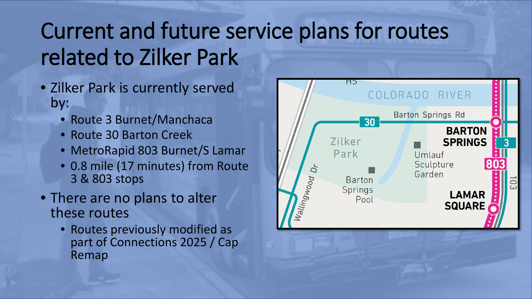## Current and future service plans for routes related to Zilker Park

- Zilker Park is currently served by:
	- Route 3 Burnet/Manchaca
	- Route 30 Barton Creek
	- MetroRapid 803 Burnet/S Lamar
	- 0.8 mile (17 minutes) from Route 3 & 803 stops
- There are no plans to alter these routes
	- Routes previously modified as part of Connections 2025 / Cap Remap

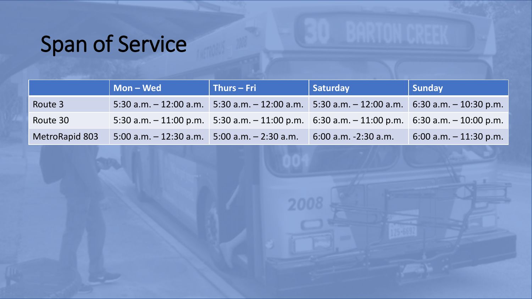## Span of Service

|                       | Mon-Wed                   | $\vert$ Thurs – Fri                                                                                 | Saturday                                            | Sunday                    |
|-----------------------|---------------------------|-----------------------------------------------------------------------------------------------------|-----------------------------------------------------|---------------------------|
| Route 3               | $5:30$ a.m. $-12:00$ a.m. | $5:30$ a.m. $-12:00$ a.m.                                                                           | $5:30$ a.m. $-12:00$ a.m. $6:30$ a.m. $-10:30$ p.m. |                           |
| Route 30              |                           | 5:30 a.m. $-$ 11:00 p.m. 5:30 a.m. $-$ 11:00 p.m. 6:30 a.m. $-$ 11:00 p.m. 6:30 a.m. $-$ 10:00 p.m. |                                                     |                           |
| <b>MetroRapid 803</b> | $5:00$ a.m. $-12:30$ a.m. | $5:00$ a.m. $-2:30$ a.m.                                                                            | $6:00$ a.m. $-2:30$ a.m.                            | $6:00$ a.m. $-11:30$ p.m. |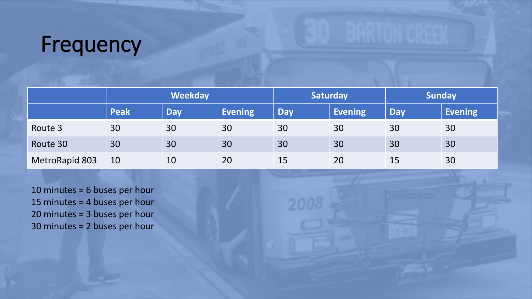#### Frequency

|                | <b>Weekday</b> |            | <b>Saturday</b> |            | <b>Sunday</b>  |            |                |
|----------------|----------------|------------|-----------------|------------|----------------|------------|----------------|
|                | <b>Peak</b>    | <b>Day</b> | <b>Evening</b>  | <b>Day</b> | <b>Evening</b> | <b>Day</b> | <b>Evening</b> |
| Route 3        | 30             | 30         | 30              | 30         | 30             | 30         | 30             |
| Route 30       | 30             | 30         | 30              | 30         | 30             | 30         | 30             |
| MetroRapid 803 | 10             | 10         | 20              | 15         | 20             | 15         | 30             |

10 minutes = 6 buses per hour 15 minutes = 4 buses per hour 20 minutes = 3 buses per hour 30 minutes = 2 buses per hour

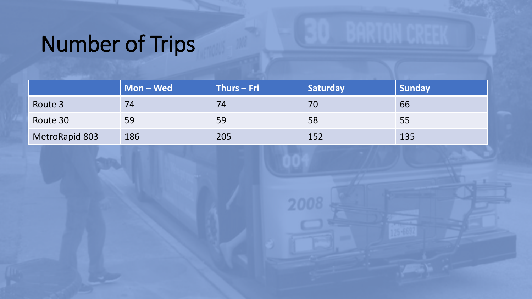# Number of Trips

|                | Mon – Wed | $\mid$ Thurs – Fri | Saturday | <b>Sunday</b> |
|----------------|-----------|--------------------|----------|---------------|
| Route 3        | 74        | 74                 | 70       | 66            |
| Route 30       | 59        | 59                 | 58       | 55            |
| MetroRapid 803 | 186       | 205                | 152      | 135           |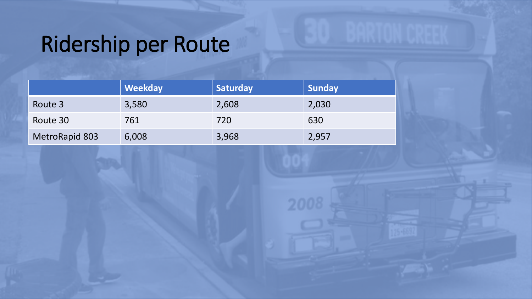## Ridership per Route

|                | <b>Weekday</b> | Saturday | <b>Sunday</b> |
|----------------|----------------|----------|---------------|
| Route 3        | 3,580          | 2,608    | 2,030         |
| Route 30       | 761            | 720      | 630           |
| MetroRapid 803 | 6,008          | 3,968    | 2,957         |